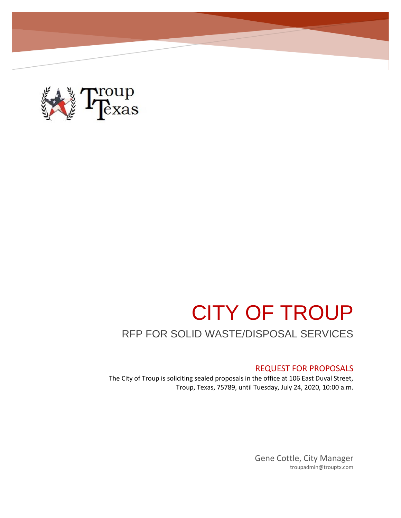

# CITY OF TROUP

# RFP FOR SOLID WASTE/DISPOSAL SERVICES

# REQUEST FOR PROPOSALS

The City of Troup is soliciting sealed proposals in the office at 106 East Duval Street, Troup, Texas, 75789, until Tuesday, July 24, 2020, 10:00 a.m.

> Gene Cottle, City Manager troupadmin@trouptx.com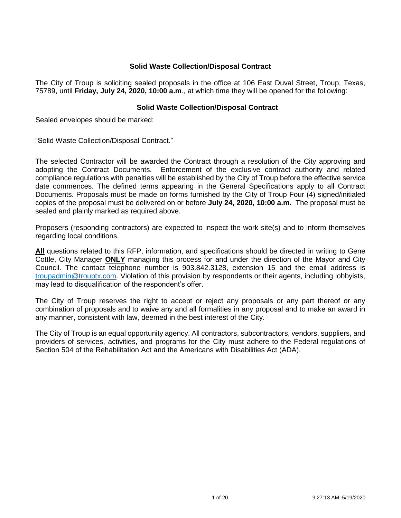# **Solid Waste Collection/Disposal Contract**

The City of Troup is soliciting sealed proposals in the office at 106 East Duval Street, Troup, Texas, 75789, until **Friday, July 24, 2020, 10:00 a.m**., at which time they will be opened for the following:

# **Solid Waste Collection/Disposal Contract**

Sealed envelopes should be marked:

"Solid Waste Collection/Disposal Contract."

The selected Contractor will be awarded the Contract through a resolution of the City approving and adopting the Contract Documents. Enforcement of the exclusive contract authority and related compliance regulations with penalties will be established by the City of Troup before the effective service date commences. The defined terms appearing in the General Specifications apply to all Contract Documents. Proposals must be made on forms furnished by the City of Troup Four (4) signed/initialed copies of the proposal must be delivered on or before **July 24, 2020, 10:00 a.m.** The proposal must be sealed and plainly marked as required above.

Proposers (responding contractors) are expected to inspect the work site(s) and to inform themselves regarding local conditions.

All questions related to this RFP, information, and specifications should be directed in writing to Gene Cottle, City Manager **ONLY** managing this process for and under the direction of the Mayor and City Council. The contact telephone number is 903.842.3128, extension 15 and the email address is [troupadmin@trouptx.com.](mailto:troupadmin@trouptx.com) Violation of this provision by respondents or their agents, including lobbyists, may lead to disqualification of the respondent's offer.

The City of Troup reserves the right to accept or reject any proposals or any part thereof or any combination of proposals and to waive any and all formalities in any proposal and to make an award in any manner, consistent with law, deemed in the best interest of the City.

The City of Troup is an equal opportunity agency. All contractors, subcontractors, vendors, suppliers, and providers of services, activities, and programs for the City must adhere to the Federal regulations of Section 504 of the Rehabilitation Act and the Americans with Disabilities Act (ADA).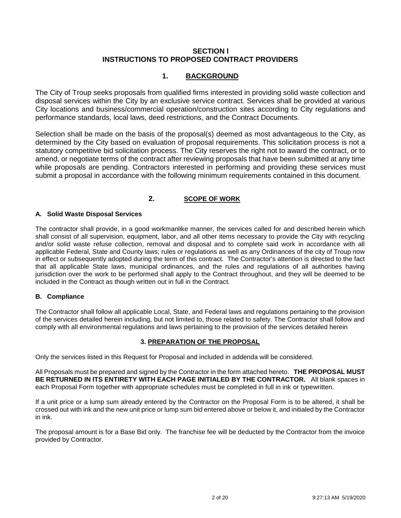# **SECTION l INSTRUCTIONS TO PROPOSED CONTRACT PROVIDERS**

# **1. BACKGROUND**

The City of Troup seeks proposals from qualified firms interested in providing solid waste collection and disposal services within the City by an exclusive service contract. Services shall be provided at various City locations and business/commercial operation/construction sites according to City regulations and performance standards, local laws, deed restrictions, and the Contract Documents.

Selection shall be made on the basis of the proposal(s) deemed as most advantageous to the City, as determined by the City based on evaluation of proposal requirements. This solicitation process is not a statutory competitive bid solicitation process. The City reserves the right not to award the contract, or to amend, or negotiate terms of the contract after reviewing proposals that have been submitted at any time while proposals are pending. Contractors interested in performing and providing these services must submit a proposal in accordance with the following minimum requirements contained in this document.

# **2. SCOPE OF WORK**

# **A. Solid Waste Disposal Services**

The contractor shall provide, in a good workmanlike manner, the services called for and described herein which shall consist of all supervision, equipment, labor, and all other items necessary to provide the City with recycling and/or solid waste refuse collection, removal and disposal and to complete said work in accordance with all applicable Federal, State and County laws; rules or regulations as well as any Ordinances of the city of Troup now in effect or subsequently adopted during the term of this contract. The Contractor's attention is directed to the fact that all applicable State laws, municipal ordinances, and the rules and regulations of all authorities having jurisdiction over the work to be performed shall apply to the Contract throughout, and they will be deemed to be included in the Contract as though written out in full in the Contract.

#### **B. Compliance**

The Contractor shall follow all applicable Local, State, and Federal laws and regulations pertaining to the provision of the services detailed herein including, but not limited to, those related to safety. The Contractor shall follow and comply with all environmental regulations and laws pertaining to the provision of the services detailed herein

# **3. PREPARATION OF THE PROPOSAL**

Only the services listed in this Request for Proposal and included in addenda will be considered.

All Proposals must be prepared and signed by the Contractor in the form attached hereto. **THE PROPOSAL MUST BE RETURNED IN ITS ENTIRETY WITH EACH PAGE INITIALED BY THE CONTRACTOR.** All blank spaces in each Proposal Form together with appropriate schedules must be completed in full in ink or typewritten.

If a unit price or a lump sum already entered by the Contractor on the Proposal Form is to be altered, it shall be crossed out with ink and the new unit price or lump sum bid entered above or below it, and initialed by the Contractor in ink.

The proposal amount is for a Base Bid only. The franchise fee will be deducted by the Contractor from the invoice provided by Contractor.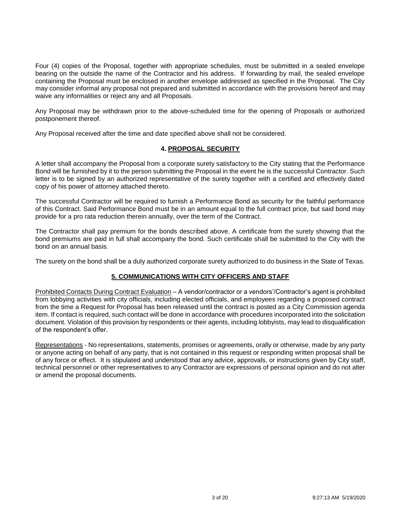Four (4) copies of the Proposal, together with appropriate schedules, must be submitted in a sealed envelope bearing on the outside the name of the Contractor and his address. If forwarding by mail, the sealed envelope containing the Proposal must be enclosed in another envelope addressed as specified in the Proposal. The City may consider informal any proposal not prepared and submitted in accordance with the provisions hereof and may waive any informalities or reject any and all Proposals.

Any Proposal may be withdrawn prior to the above-scheduled time for the opening of Proposals or authorized postponement thereof.

Any Proposal received after the time and date specified above shall not be considered.

# **4. PROPOSAL SECURITY**

A letter shall accompany the Proposal from a corporate surety satisfactory to the City stating that the Performance Bond will be furnished by it to the person submitting the Proposal in the event he is the successful Contractor. Such letter is to be signed by an authorized representative of the surety together with a certified and effectively dated copy of his power of attorney attached thereto.

The successful Contractor will be required to furnish a Performance Bond as security for the faithful performance of this Contract. Said Performance Bond must be in an amount equal to the full contract price, but said bond may provide for a pro rata reduction therein annually, over the term of the Contract.

The Contractor shall pay premium for the bonds described above. A certificate from the surety showing that the bond premiums are paid in full shall accompany the bond. Such certificate shall be submitted to the City with the bond on an annual basis.

The surety on the bond shall be a duly authorized corporate surety authorized to do business in the State of Texas.

# **5. COMMUNICATIONS WITH CITY OFFICERS AND STAFF**

Prohibited Contacts During Contract Evaluation – A vendor/contractor or a vendors'/Contractor's agent is prohibited from lobbying activities with city officials, including elected officials, and employees regarding a proposed contract from the time a Request for Proposal has been released until the contract is posted as a City Commission agenda item. If contact is required, such contact will be done in accordance with procedures incorporated into the solicitation document. Violation of this provision by respondents or their agents, including lobbyists, may lead to disqualification of the respondent's offer.

Representations - No representations, statements, promises or agreements, orally or otherwise, made by any party or anyone acting on behalf of any party, that is not contained in this request or responding written proposal shall be of any force or effect. It is stipulated and understood that any advice, approvals, or instructions given by City staff, technical personnel or other representatives to any Contractor are expressions of personal opinion and do not alter or amend the proposal documents.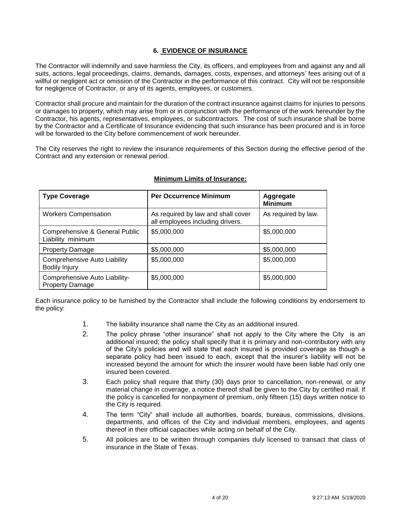# **6. EVIDENCE OF INSURANCE**

The Contractor will indemnify and save harmless the City, its officers, and employees from and against any and all suits, actions, legal proceedings, claims, demands, damages, costs, expenses, and attorneys' fees arising out of a willful or negligent act or omission of the Contractor in the performance of this contract. City will not be responsible for negligence of Contractor, or any of its agents, employees, or customers.

Contractor shall procure and maintain for the duration of the contract insurance against claims for injuries to persons or damages to property, which may arise from or in conjunction with the performance of the work hereunder by the Contractor, his agents, representatives, employees, or subcontractors. The cost of such insurance shall be borne by the Contractor and a Certificate of Insurance evidencing that such insurance has been procured and is in force will be forwarded to the City before commencement of work hereunder.

The City reserves the right to review the insurance requirements of this Section during the effective period of the Contract and any extension or renewal period.

| <b>Type Coverage</b>                                        | <b>Per Occurrence Minimum</b>                                          | Aggregate<br><b>Minimum</b> |
|-------------------------------------------------------------|------------------------------------------------------------------------|-----------------------------|
| <b>Workers Compensation</b>                                 | As required by law and shall cover<br>all employees including drivers. | As required by law.         |
| Comprehensive & General Public<br>Liability minimum         | \$5,000,000                                                            | \$5,000,000                 |
| <b>Property Damage</b>                                      | \$5,000,000                                                            | \$5,000,000                 |
| <b>Comprehensive Auto Liability</b><br><b>Bodily Injury</b> | \$5,000,000                                                            | \$5,000,000                 |
| Comprehensive Auto Liability-<br><b>Property Damage</b>     | \$5,000,000                                                            | \$5,000,000                 |

### **Minimum Limits of Insurance:**

Each insurance policy to be furnished by the Contractor shall include the following conditions by endorsement to the policy:

- 1. The liability insurance shall name the City as an additional insured.
- 2. The policy phrase "other insurance" shall not apply to the City where the City is an additional insured; the policy shall specify that it is primary and non-contributory with any of the City's policies and will state that each insured is provided coverage as though a separate policy had been issued to each, except that the insurer's liability will not be increased beyond the amount for which the insurer would have been liable had only one insured been covered.
- 3. Each policy shall require that thirty (30) days prior to cancellation, non-renewal, or any material change in coverage, a notice thereof shall be given to the City by certified mail. If the policy is cancelled for nonpayment of premium, only fifteen (15) days written notice to the City is required.
- 4. The term "City" shall include all authorities, boards, bureaus, commissions, divisions, departments, and offices of the City and individual members, employees, and agents thereof in their official capacities while acting on behalf of the City.
- 5. All policies are to be written through companies duly licensed to transact that class of insurance in the State of Texas.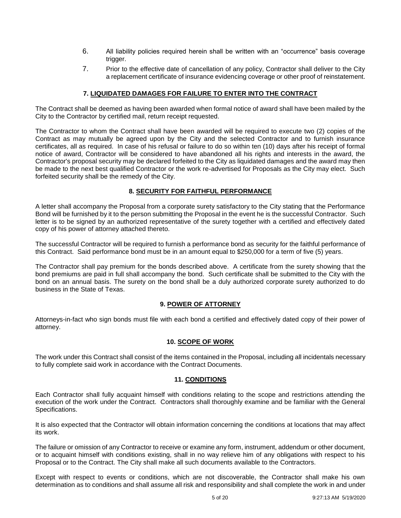- 6. All liability policies required herein shall be written with an "occurrence" basis coverage trigger.
- 7. Prior to the effective date of cancellation of any policy, Contractor shall deliver to the City a replacement certificate of insurance evidencing coverage or other proof of reinstatement.

# **7. LIQUIDATED DAMAGES FOR FAILURE TO ENTER INTO THE CONTRACT**

The Contract shall be deemed as having been awarded when formal notice of award shall have been mailed by the City to the Contractor by certified mail, return receipt requested.

The Contractor to whom the Contract shall have been awarded will be required to execute two (2) copies of the Contract as may mutually be agreed upon by the City and the selected Contractor and to furnish insurance certificates, all as required. In case of his refusal or failure to do so within ten (10) days after his receipt of formal notice of award, Contractor will be considered to have abandoned all his rights and interests in the award, the Contractor's proposal security may be declared forfeited to the City as liquidated damages and the award may then be made to the next best qualified Contractor or the work re-advertised for Proposals as the City may elect. Such forfeited security shall be the remedy of the City.

### **8. SECURITY FOR FAITHFUL PERFORMANCE**

A letter shall accompany the Proposal from a corporate surety satisfactory to the City stating that the Performance Bond will be furnished by it to the person submitting the Proposal in the event he is the successful Contractor. Such letter is to be signed by an authorized representative of the surety together with a certified and effectively dated copy of his power of attorney attached thereto.

The successful Contractor will be required to furnish a performance bond as security for the faithful performance of this Contract. Said performance bond must be in an amount equal to \$250,000 for a term of five (5) years.

The Contractor shall pay premium for the bonds described above. A certificate from the surety showing that the bond premiums are paid in full shall accompany the bond. Such certificate shall be submitted to the City with the bond on an annual basis. The surety on the bond shall be a duly authorized corporate surety authorized to do business in the State of Texas.

# **9. POWER OF ATTORNEY**

Attorneys-in-fact who sign bonds must file with each bond a certified and effectively dated copy of their power of attorney.

#### **10. SCOPE OF WORK**

The work under this Contract shall consist of the items contained in the Proposal, including all incidentals necessary to fully complete said work in accordance with the Contract Documents.

#### **11. CONDITIONS**

Each Contractor shall fully acquaint himself with conditions relating to the scope and restrictions attending the execution of the work under the Contract. Contractors shall thoroughly examine and be familiar with the General Specifications.

It is also expected that the Contractor will obtain information concerning the conditions at locations that may affect its work.

The failure or omission of any Contractor to receive or examine any form, instrument, addendum or other document, or to acquaint himself with conditions existing, shall in no way relieve him of any obligations with respect to his Proposal or to the Contract. The City shall make all such documents available to the Contractors.

Except with respect to events or conditions, which are not discoverable, the Contractor shall make his own determination as to conditions and shall assume all risk and responsibility and shall complete the work in and under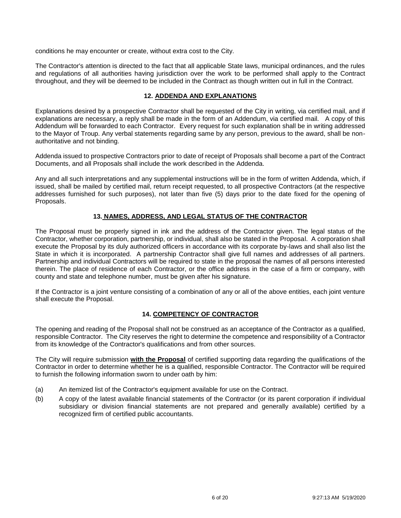conditions he may encounter or create, without extra cost to the City.

The Contractor's attention is directed to the fact that all applicable State laws, municipal ordinances, and the rules and regulations of all authorities having jurisdiction over the work to be performed shall apply to the Contract throughout, and they will be deemed to be included in the Contract as though written out in full in the Contract.

# **12. ADDENDA AND EXPLANATIONS**

Explanations desired by a prospective Contractor shall be requested of the City in writing, via certified mail, and if explanations are necessary, a reply shall be made in the form of an Addendum, via certified mail. A copy of this Addendum will be forwarded to each Contractor. Every request for such explanation shall be in writing addressed to the Mayor of Troup. Any verbal statements regarding same by any person, previous to the award, shall be nonauthoritative and not binding.

Addenda issued to prospective Contractors prior to date of receipt of Proposals shall become a part of the Contract Documents, and all Proposals shall include the work described in the Addenda.

Any and all such interpretations and any supplemental instructions will be in the form of written Addenda, which, if issued, shall be mailed by certified mail, return receipt requested, to all prospective Contractors (at the respective addresses furnished for such purposes), not later than five (5) days prior to the date fixed for the opening of Proposals.

### **13. NAMES, ADDRESS, AND LEGAL STATUS OF THE CONTRACTOR**

The Proposal must be properly signed in ink and the address of the Contractor given. The legal status of the Contractor, whether corporation, partnership, or individual, shall also be stated in the Proposal. A corporation shall execute the Proposal by its duly authorized officers in accordance with its corporate by-laws and shall also list the State in which it is incorporated. A partnership Contractor shall give full names and addresses of all partners. Partnership and individual Contractors will be required to state in the proposal the names of all persons interested therein. The place of residence of each Contractor, or the office address in the case of a firm or company, with county and state and telephone number, must be given after his signature.

If the Contractor is a joint venture consisting of a combination of any or all of the above entities, each joint venture shall execute the Proposal.

#### **14. COMPETENCY OF CONTRACTOR**

The opening and reading of the Proposal shall not be construed as an acceptance of the Contractor as a qualified, responsible Contractor. The City reserves the right to determine the competence and responsibility of a Contractor from its knowledge of the Contractor's qualifications and from other sources.

The City will require submission **with the Proposal** of certified supporting data regarding the qualifications of the Contractor in order to determine whether he is a qualified, responsible Contractor. The Contractor will be required to furnish the following information sworn to under oath by him:

- (a) An itemized list of the Contractor's equipment available for use on the Contract.
- (b) A copy of the latest available financial statements of the Contractor (or its parent corporation if individual subsidiary or division financial statements are not prepared and generally available) certified by a recognized firm of certified public accountants.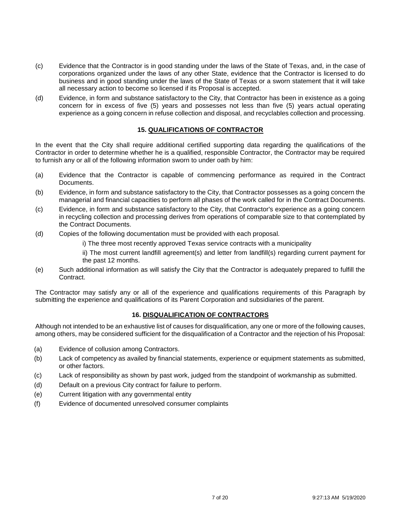- (c) Evidence that the Contractor is in good standing under the laws of the State of Texas, and, in the case of corporations organized under the laws of any other State, evidence that the Contractor is licensed to do business and in good standing under the laws of the State of Texas or a sworn statement that it will take all necessary action to become so licensed if its Proposal is accepted.
- (d) Evidence, in form and substance satisfactory to the City, that Contractor has been in existence as a going concern for in excess of five (5) years and possesses not less than five (5) years actual operating experience as a going concern in refuse collection and disposal, and recyclables collection and processing.

### **15. QUALIFICATIONS OF CONTRACTOR**

In the event that the City shall require additional certified supporting data regarding the qualifications of the Contractor in order to determine whether he is a qualified, responsible Contractor, the Contractor may be required to furnish any or all of the following information sworn to under oath by him:

- (a) Evidence that the Contractor is capable of commencing performance as required in the Contract Documents.
- (b) Evidence, in form and substance satisfactory to the City, that Contractor possesses as a going concern the managerial and financial capacities to perform all phases of the work called for in the Contract Documents.
- (c) Evidence, in form and substance satisfactory to the City, that Contractor's experience as a going concern in recycling collection and processing derives from operations of comparable size to that contemplated by the Contract Documents.
- (d) Copies of the following documentation must be provided with each proposal.
	- i) The three most recently approved Texas service contracts with a municipality
	- ii) The most current landfill agreement(s) and letter from landfill(s) regarding current payment for the past 12 months.
- (e) Such additional information as will satisfy the City that the Contractor is adequately prepared to fulfill the Contract.

The Contractor may satisfy any or all of the experience and qualifications requirements of this Paragraph by submitting the experience and qualifications of its Parent Corporation and subsidiaries of the parent.

# **16. DISQUALIFICATION OF CONTRACTORS**

Although not intended to be an exhaustive list of causes for disqualification, any one or more of the following causes, among others, may be considered sufficient for the disqualification of a Contractor and the rejection of his Proposal:

- (a) Evidence of collusion among Contractors.
- (b) Lack of competency as availed by financial statements, experience or equipment statements as submitted, or other factors.
- (c) Lack of responsibility as shown by past work, judged from the standpoint of workmanship as submitted.
- (d) Default on a previous City contract for failure to perform.
- (e) Current litigation with any governmental entity
- (f) Evidence of documented unresolved consumer complaints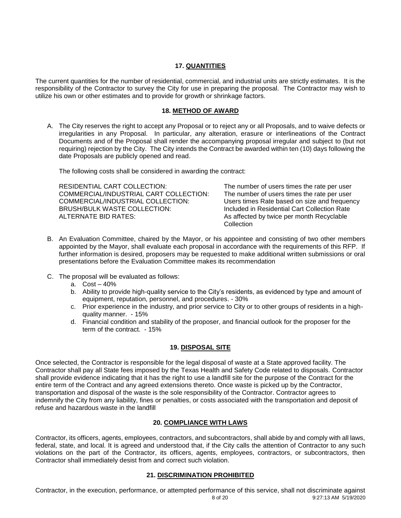#### **17. QUANTITIES**

The current quantities for the number of residential, commercial, and industrial units are strictly estimates. It is the responsibility of the Contractor to survey the City for use in preparing the proposal. The Contractor may wish to utilize his own or other estimates and to provide for growth or shrinkage factors.

# **18. METHOD OF AWARD**

A. The City reserves the right to accept any Proposal or to reject any or all Proposals, and to waive defects or irregularities in any Proposal. In particular, any alteration, erasure or interlineations of the Contract Documents and of the Proposal shall render the accompanying proposal irregular and subject to (but not requiring) rejection by the City. The City intends the Contract be awarded within ten (10) days following the date Proposals are publicly opened and read.

The following costs shall be considered in awarding the contract:

| RESIDENTIAL CART COLLECTION:           | The number of users times the rate per user  |
|----------------------------------------|----------------------------------------------|
| COMMERCIAL/INDUSTRIAL CART COLLECTION: | The number of users times the rate per user  |
| COMMERCIAL/INDUSTRIAL COLLECTION:      | Users times Rate based on size and frequency |
| BRUSH/BULK WASTE COLLECTION:           | Included in Residential Cart Collection Rate |
| ALTERNATE BID RATES:                   | As affected by twice per month Recyclable    |
|                                        | Collection                                   |

- B. An Evaluation Committee, chaired by the Mayor, or his appointee and consisting of two other members appointed by the Mayor, shall evaluate each proposal in accordance with the requirements of this RFP. If further information is desired, proposers may be requested to make additional written submissions or oral presentations before the Evaluation Committee makes its recommendation
- C. The proposal will be evaluated as follows:
	- a. Cost 40%
	- b. Ability to provide high-quality service to the City's residents, as evidenced by type and amount of equipment, reputation, personnel, and procedures. - 30%
	- c. Prior experience in the industry, and prior service to City or to other groups of residents in a highquality manner. - 15%
	- d. Financial condition and stability of the proposer, and financial outlook for the proposer for the term of the contract. - 15%

# **19. DISPOSAL SITE**

Once selected, the Contractor is responsible for the legal disposal of waste at a State approved facility. The Contractor shall pay all State fees imposed by the Texas Health and Safety Code related to disposals. Contractor shall provide evidence indicating that it has the right to use a landfill site for the purpose of the Contract for the entire term of the Contract and any agreed extensions thereto. Once waste is picked up by the Contractor, transportation and disposal of the waste is the sole responsibility of the Contractor. Contractor agrees to indemnify the City from any liability, fines or penalties, or costs associated with the transportation and deposit of refuse and hazardous waste in the landfill

# **20. COMPLIANCE WITH LAWS**

Contractor, its officers, agents, employees, contractors, and subcontractors, shall abide by and comply with all laws, federal, state, and local. It is agreed and understood that, if the City calls the attention of Contractor to any such violations on the part of the Contractor, its officers, agents, employees, contractors, or subcontractors, then Contractor shall immediately desist from and correct such violation.

# **21. DISCRIMINATION PROHIBITED**

8 of 20 9:27:13 AM 5/19/2020 Contractor, in the execution, performance, or attempted performance of this service, shall not discriminate against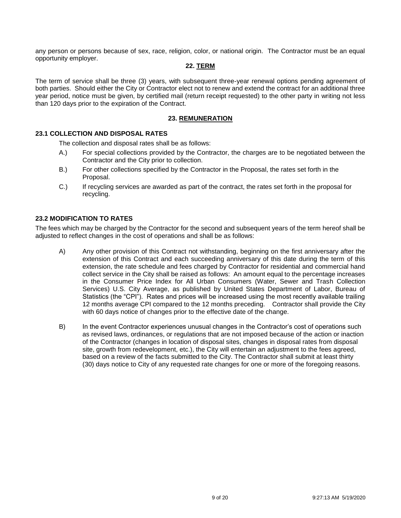any person or persons because of sex, race, religion, color, or national origin. The Contractor must be an equal opportunity employer.

#### **22. TERM**

The term of service shall be three (3) years, with subsequent three-year renewal options pending agreement of both parties. Should either the City or Contractor elect not to renew and extend the contract for an additional three year period, notice must be given, by certified mail (return receipt requested) to the other party in writing not less than 120 days prior to the expiration of the Contract.

# **23. REMUNERATION**

# **23.1 COLLECTION AND DISPOSAL RATES**

The collection and disposal rates shall be as follows:

- A.) For special collections provided by the Contractor, the charges are to be negotiated between the Contractor and the City prior to collection.
- B.) For other collections specified by the Contractor in the Proposal, the rates set forth in the Proposal.
- C.) If recycling services are awarded as part of the contract, the rates set forth in the proposal for recycling.

#### **23.2 MODIFICATION TO RATES**

The fees which may be charged by the Contractor for the second and subsequent years of the term hereof shall be adjusted to reflect changes in the cost of operations and shall be as follows:

- A) Any other provision of this Contract not withstanding, beginning on the first anniversary after the extension of this Contract and each succeeding anniversary of this date during the term of this extension, the rate schedule and fees charged by Contractor for residential and commercial hand collect service in the City shall be raised as follows: An amount equal to the percentage increases in the Consumer Price Index for All Urban Consumers (Water, Sewer and Trash Collection Services) U.S. City Average, as published by United States Department of Labor, Bureau of Statistics (the "CPI"). Rates and prices will be increased using the most recently available trailing 12 months average CPI compared to the 12 months preceding. Contractor shall provide the City with 60 days notice of changes prior to the effective date of the change.
- B) In the event Contractor experiences unusual changes in the Contractor's cost of operations such as revised laws, ordinances, or regulations that are not imposed because of the action or inaction of the Contractor (changes in location of disposal sites, changes in disposal rates from disposal site, growth from redevelopment, etc.), the City will entertain an adjustment to the fees agreed, based on a review of the facts submitted to the City. The Contractor shall submit at least thirty (30) days notice to City of any requested rate changes for one or more of the foregoing reasons.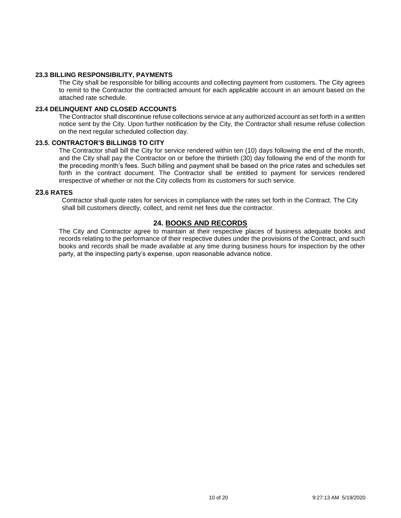#### **23.3 BILLING RESPONSIBILITY, PAYMENTS**

The City shall be responsible for billing accounts and collecting payment from customers. The City agrees to remit to the Contractor the contracted amount for each applicable account in an amount based on the attached rate schedule.

#### **23.4 DELINQUENT AND CLOSED ACCOUNTS**

The Contractor shall discontinue refuse collections service at any authorized account as set forth in a written notice sent by the City. Upon further notification by the City, the Contractor shall resume refuse collection on the next regular scheduled collection day.

#### **23.5. CONTRACTOR'S BILLINGS TO CITY**

The Contractor shall bill the City for service rendered within ten (10) days following the end of the month, and the City shall pay the Contractor on or before the thirtieth (30) day following the end of the month for the preceding month's fees. Such billing and payment shall be based on the price rates and schedules set forth in the contract document. The Contractor shall be entitled to payment for services rendered irrespective of whether or not the City collects from its customers for such service.

#### **23.6 RATES**

Contractor shall quote rates for services in compliance with the rates set forth in the Contract. The City shall bill customers directly, collect, and remit net fees due the contractor.

## **24. BOOKS AND RECORDS**

The City and Contractor agree to maintain at their respective places of business adequate books and records relating to the performance of their respective duties under the provisions of the Contract, and such books and records shall be made available at any time during business hours for inspection by the other party, at the inspecting party's expense, upon reasonable advance notice.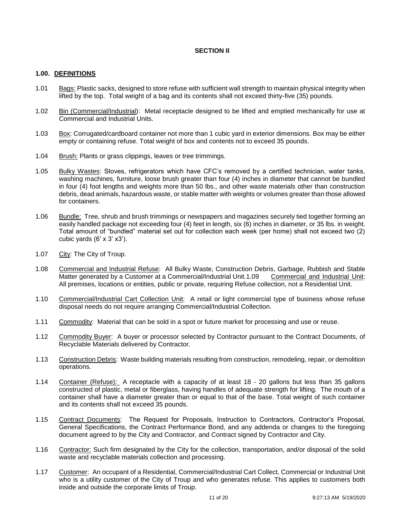# **SECTION II**

#### **1.00. DEFINITIONS**

- 1.01 Bags: Plastic sacks, designed to store refuse with sufficient wall strength to maintain physical integrity when lifted by the top. Total weight of a bag and its contents shall not exceed thirty-five (35) pounds.
- 1.02 Bin (Commercial/Industrial): Metal receptacle designed to be lifted and emptied mechanically for use at Commercial and Industrial Units.
- 1.03 Box: Corrugated/cardboard container not more than 1 cubic yard in exterior dimensions. Box may be either empty or containing refuse. Total weight of box and contents not to exceed 35 pounds.
- 1.04 Brush: Plants or grass clippings, leaves or tree trimmings.
- 1.05 Bulky Wastes: Stoves, refrigerators which have CFC's removed by a certified technician, water tanks, washing machines, furniture, loose brush greater than four (4) inches in diameter that cannot be bundled in four (4) foot lengths and weights more than 50 lbs., and other waste materials other than construction debris, dead animals, hazardous waste, or stable matter with weights or volumes greater than those allowed for containers.
- 1.06 Bundle: Tree, shrub and brush trimmings or newspapers and magazines securely tied together forming an easily handled package not exceeding four (4) feet in length, six (6) inches in diameter, or 35 lbs. in weight. Total amount of "bundled" material set out for collection each week (per home) shall not exceed two (2) cubic yards  $(6' \times 3' \times 3')$ .
- 1.07 City: The City of Troup.
- 1.08 Commercial and Industrial Refuse: All Bulky Waste, Construction Debris, Garbage, Rubbish and Stable Matter generated by a Customer at a Commercial/Industrial Unit.1.09 Commercial and Industrial Unit: All premises, locations or entities, public or private, requiring Refuse collection, not a Residential Unit.
- 1.10 Commercial/Industrial Cart Collection Unit: A retail or light commercial type of business whose refuse disposal needs do not require arranging Commercial/Industrial Collection.
- 1.11 Commodity: Material that can be sold in a spot or future market for processing and use or reuse.
- 1.12 Commodity Buyer: A buyer or processor selected by Contractor pursuant to the Contract Documents, of Recyclable Materials delivered by Contractor.
- 1.13 Construction Debris: Waste building materials resulting from construction, remodeling, repair, or demolition operations.
- 1.14 Container (Refuse): A receptacle with a capacity of at least 18 20 gallons but less than 35 gallons constructed of plastic, metal or fiberglass, having handles of adequate strength for lifting. The mouth of a container shall have a diameter greater than or equal to that of the base. Total weight of such container and its contents shall not exceed 35 pounds.
- 1.15 Contract Documents: The Request for Proposals, Instruction to Contractors, Contractor's Proposal, General Specifications, the Contract Performance Bond, and any addenda or changes to the foregoing document agreed to by the City and Contractor, and Contract signed by Contractor and City.
- 1.16 Contractor: Such firm designated by the City for the collection, transportation, and/or disposal of the solid waste and recyclable materials collection and processing.
- 1.17 Customer: An occupant of a Residential, Commercial/Industrial Cart Collect, Commercial or Industrial Unit who is a utility customer of the City of Troup and who generates refuse. This applies to customers both inside and outside the corporate limits of Troup.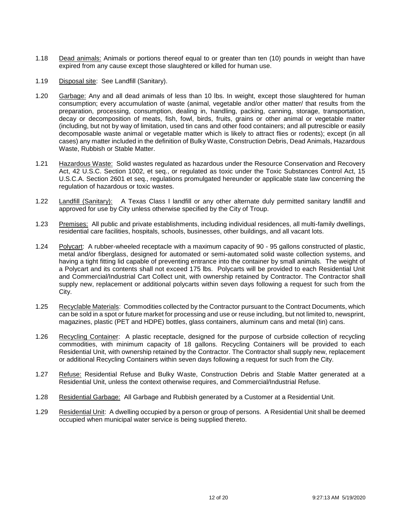- 1.18 Dead animals: Animals or portions thereof equal to or greater than ten (10) pounds in weight than have expired from any cause except those slaughtered or killed for human use.
- 1.19 Disposal site: See Landfill (Sanitary).
- 1.20 Garbage: Any and all dead animals of less than 10 lbs. In weight, except those slaughtered for human consumption; every accumulation of waste (animal, vegetable and/or other matter/ that results from the preparation, processing, consumption, dealing in, handling, packing, canning, storage, transportation, decay or decomposition of meats, fish, fowl, birds, fruits, grains or other animal or vegetable matter (including, but not by way of limitation, used tin cans and other food containers; and all putrescible or easily decomposable waste animal or vegetable matter which is likely to attract flies or rodents); except (in all cases) any matter included in the definition of Bulky Waste, Construction Debris, Dead Animals, Hazardous Waste, Rubbish or Stable Matter.
- 1.21 Hazardous Waste: Solid wastes regulated as hazardous under the Resource Conservation and Recovery Act, 42 U.S.C. Section 1002, et seq., or regulated as toxic under the Toxic Substances Control Act, 15 U.S.C.A. Section 2601 et seq., regulations promulgated hereunder or applicable state law concerning the regulation of hazardous or toxic wastes.
- 1.22 Landfill (Sanitary): A Texas Class I landfill or any other alternate duly permitted sanitary landfill and approved for use by City unless otherwise specified by the City of Troup.
- 1.23 Premises: All public and private establishments, including individual residences, all multi-family dwellings, residential care facilities, hospitals, schools, businesses, other buildings, and all vacant lots.
- 1.24 Polycart: A rubber-wheeled receptacle with a maximum capacity of 90 95 gallons constructed of plastic, metal and/or fiberglass, designed for automated or semi-automated solid waste collection systems, and having a tight fitting lid capable of preventing entrance into the container by small animals. The weight of a Polycart and its contents shall not exceed 175 lbs. Polycarts will be provided to each Residential Unit and Commercial/Industrial Cart Collect unit, with ownership retained by Contractor. The Contractor shall supply new, replacement or additional polycarts within seven days following a request for such from the City.
- 1.25 Recyclable Materials: Commodities collected by the Contractor pursuant to the Contract Documents, which can be sold in a spot or future market for processing and use or reuse including, but not limited to, newsprint, magazines, plastic (PET and HDPE) bottles, glass containers, aluminum cans and metal (tin) cans.
- 1.26 Recycling Container: A plastic receptacle, designed for the purpose of curbside collection of recycling commodities, with minimum capacity of 18 gallons. Recycling Containers will be provided to each Residential Unit, with ownership retained by the Contractor. The Contractor shall supply new, replacement or additional Recycling Containers within seven days following a request for such from the City.
- 1.27 Refuse: Residential Refuse and Bulky Waste, Construction Debris and Stable Matter generated at a Residential Unit, unless the context otherwise requires, and Commercial/Industrial Refuse.
- 1.28 Residential Garbage: All Garbage and Rubbish generated by a Customer at a Residential Unit.
- 1.29 Residential Unit: A dwelling occupied by a person or group of persons. A Residential Unit shall be deemed occupied when municipal water service is being supplied thereto.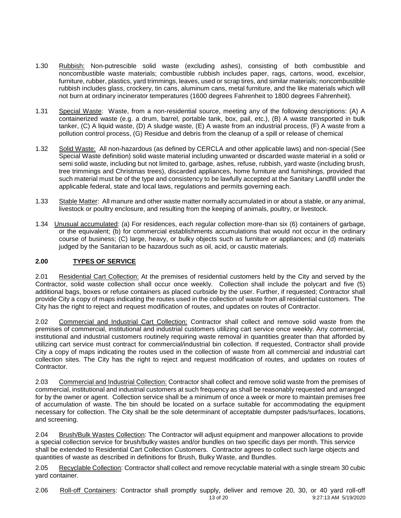- 1.30 Rubbish: Non-putrescible solid waste (excluding ashes), consisting of both combustible and noncombustible waste materials; combustible rubbish includes paper, rags, cartons, wood, excelsior, furniture, rubber, plastics, yard trimmings, leaves, used or scrap tires, and similar materials; noncombustible rubbish includes glass, crockery, tin cans, aluminum cans, metal furniture, and the like materials which will not burn at ordinary incinerator temperatures (1600 degrees Fahrenheit to 1800 degrees Fahrenheit).
- 1.31 Special Waste: Waste, from a non-residential source, meeting any of the following descriptions: (A) A containerized waste (e.g. a drum, barrel, portable tank, box, pail, etc.), (B) A waste transported in bulk tanker, (C) A liquid waste, (D) A sludge waste, (E) A waste from an industrial process, (F) A waste from a pollution control process, (G) Residue and debris from the cleanup of a spill or release of chemical
- 1.32 Solid Waste: All non-hazardous (as defined by CERCLA and other applicable laws) and non-special (See Special Waste definition) solid waste material including unwanted or discarded waste material in a solid or semi solid waste, including but not limited to, garbage, ashes, refuse, rubbish, yard waste (including brush, tree trimmings and Christmas trees), discarded appliances, home furniture and furnishings, provided that such material must be of the type and consistency to be lawfully accepted at the Sanitary Landfill under the applicable federal, state and local laws, regulations and permits governing each.
- 1.33 Stable Matter: All manure and other waste matter normally accumulated in or about a stable, or any animal, livestock or poultry enclosure, and resulting from the keeping of animals, poultry, or livestock.
- 1.34 Unusual accumulated: (a) For residences, each regular collection more-than six (6) containers of garbage, or the equivalent; (b) for commercial establishments accumulations that would not occur in the ordinary course of business; (C) large, heavy, or bulky objects such as furniture or appliances; and (d) materials judged by the Sanitarian to be hazardous such as oil, acid, or caustic materials.

# **2.00 TYPES OF SERVICE**

2.01 Residential Cart Collection: At the premises of residential customers held by the City and served by the Contractor, solid waste collection shall occur once weekly. Collection shall include the polycart and five (5) additional bags, boxes or refuse containers as placed curbside by the user. Further, if requested; Contractor shall provide City a copy of maps indicating the routes used in the collection of waste from all residential customers. The City has the right to reject and request modification of routes, and updates on routes of Contractor.

2.02 Commercial and Industrial Cart Collection: Contractor shall collect and remove solid waste from the premises of commercial, institutional and industrial customers utilizing cart service once weekly. Any commercial, institutional and industrial customers routinely requiring waste removal in quantities greater than that afforded by utilizing cart service must contract for commercial/industrial bin collection. If requested, Contractor shall provide City a copy of maps indicating the routes used in the collection of waste from all commercial and industrial cart collection sites. The City has the right to reject and request modification of routes, and updates on routes of Contractor.

2.03 Commercial and Industrial Collection: Contractor shall collect and remove solid waste from the premises of commercial, institutional and industrial customers at such frequency as shall be reasonably requested and arranged for by the owner or agent. Collection service shall be a minimum of once a week or more to maintain premises free of accumulation of waste. The bin should be located on a surface suitable for accommodating the equipment necessary for collection. The City shall be the sole determinant of acceptable dumpster pads/surfaces, locations, and screening.

2.04 Brush/Bulk Wastes Collection: The Contractor will adjust equipment and manpower allocations to provide a special collection service for brush/bulky wastes and/or bundles on two specific days per month. This service shall be extended to Residential Cart Collection Customers. Contractor agrees to collect such large objects and quantities of waste as described in definitions for Brush, Bulky Waste, and Bundles.

2.05 Recyclable Collection: Contractor shall collect and remove recyclable material with a single stream 30 cubic yard container.

13 of 20 9:27:13 AM 5/19/2020 2.06 Roll-off Containers: Contractor shall promptly supply, deliver and remove 20, 30, or 40 yard roll-off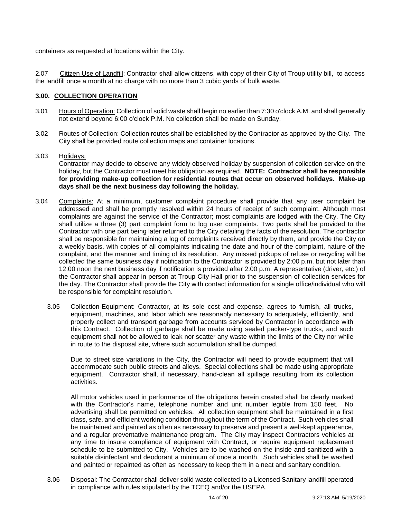containers as requested at locations within the City.

2.07 Citizen Use of Landfill: Contractor shall allow citizens, with copy of their City of Troup utility bill, to access the landfill once a month at no charge with no more than 3 cubic yards of bulk waste.

# **3.00. COLLECTION OPERATION**

- 3.01 Hours of Operation: Collection of solid waste shall begin no earlier than 7:30 o'clock A.M. and shall generally not extend beyond 6:00 o'clock P.M. No collection shall be made on Sunday.
- 3.02 Routes of Collection: Collection routes shall be established by the Contractor as approved by the City. The City shall be provided route collection maps and container locations.
- 3.03 Holidays: Contractor may decide to observe any widely observed holiday by suspension of collection service on the holiday, but the Contractor must meet his obligation as required. **NOTE: Contractor shall be responsible for providing make-up collection for residential routes that occur on observed holidays. Make-up days shall be the next business day following the holiday.**
- 3.04 Complaints: At a minimum, customer complaint procedure shall provide that any user complaint be addressed and shall be promptly resolved within 24 hours of receipt of such complaint. Although most complaints are against the service of the Contractor; most complaints are lodged with the City. The City shall utilize a three (3) part complaint form to log user complaints. Two parts shall be provided to the Contractor with one part being later returned to the City detailing the facts of the resolution. The contractor shall be responsible for maintaining a log of complaints received directly by them, and provide the City on a weekly basis, with copies of all complaints indicating the date and hour of the complaint, nature of the complaint, and the manner and timing of its resolution. Any missed pickups of refuse or recycling will be collected the same business day if notification to the Contractor is provided by 2:00 p.m. but not later than 12:00 noon the next business day if notification is provided after 2:00 p.m. A representative (driver, etc.) of the Contractor shall appear in person at Troup City Hall prior to the suspension of collection services for the day. The Contractor shall provide the City with contact information for a single office/individual who will be responsible for complaint resolution.
	- 3.05 Collection-Equipment: Contractor, at its sole cost and expense, agrees to furnish, all trucks, equipment, machines, and labor which are reasonably necessary to adequately, efficiently, and properly collect and transport garbage from accounts serviced by Contractor in accordance with this Contract. Collection of garbage shall be made using sealed packer-type trucks, and such equipment shall not be allowed to leak nor scatter any waste within the limits of the City nor while in route to the disposal site, where such accumulation shall be dumped.

Due to street size variations in the City, the Contractor will need to provide equipment that will accommodate such public streets and alleys. Special collections shall be made using appropriate equipment. Contractor shall, if necessary, hand-clean all spillage resulting from its collection activities.

All motor vehicles used in performance of the obligations herein created shall be clearly marked with the Contractor's name, telephone number and unit number legible from 150 feet. No advertising shall be permitted on vehicles. All collection equipment shall be maintained in a first class, safe, and efficient working condition throughout the term of the Contract. Such vehicles shall be maintained and painted as often as necessary to preserve and present a well-kept appearance, and a regular preventative maintenance program. The City may inspect Contractors vehicles at any time to insure compliance of equipment with Contract, or require equipment replacement schedule to be submitted to City. Vehicles are to be washed on the inside and sanitized with a suitable disinfectant and deodorant a minimum of once a month. Such vehicles shall be washed and painted or repainted as often as necessary to keep them in a neat and sanitary condition.

3.06 Disposal: The Contractor shall deliver solid waste collected to a Licensed Sanitary landfill operated in compliance with rules stipulated by the TCEQ and/or the USEPA.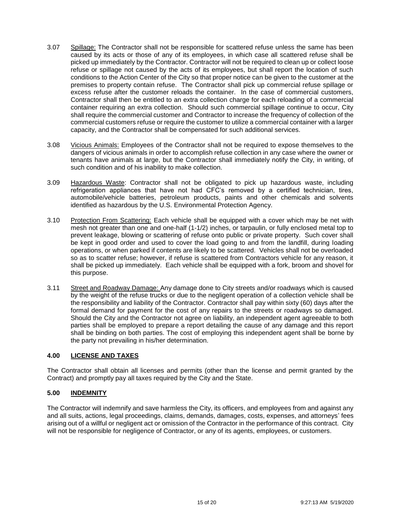- 3.07 Spillage: The Contractor shall not be responsible for scattered refuse unless the same has been caused by its acts or those of any of its employees, in which case all scattered refuse shall be picked up immediately by the Contractor. Contractor will not be required to clean up or collect loose refuse or spillage not caused by the acts of its employees, but shall report the location of such conditions to the Action Center of the City so that proper notice can be given to the customer at the premises to property contain refuse. The Contractor shall pick up commercial refuse spillage or excess refuse after the customer reloads the container. In the case of commercial customers, Contractor shall then be entitled to an extra collection charge for each reloading of a commercial container requiring an extra collection. Should such commercial spillage continue to occur, City shall require the commercial customer and Contractor to increase the frequency of collection of the commercial customers refuse or require the customer to utilize a commercial container with a larger capacity, and the Contractor shall be compensated for such additional services.
- 3.08 Vicious Animals: Employees of the Contractor shall not be required to expose themselves to the dangers of vicious animals in order to accomplish refuse collection in any case where the owner or tenants have animals at large, but the Contractor shall immediately notify the City, in writing, of such condition and of his inability to make collection.
- 3.09 Hazardous Waste: Contractor shall not be obligated to pick up hazardous waste, including refrigeration appliances that have not had CFC's removed by a certified technician, tires, automobile/vehicle batteries, petroleum products, paints and other chemicals and solvents identified as hazardous by the U.S. Environmental Protection Agency.
- 3.10 Protection From Scattering: Each vehicle shall be equipped with a cover which may be net with mesh not greater than one and one-half (1-1/2) inches, or tarpaulin, or fully enclosed metal top to prevent leakage, blowing or scattering of refuse onto public or private property. Such cover shall be kept in good order and used to cover the load going to and from the landfill, during loading operations, or when parked if contents are likely to be scattered. Vehicles shall not be overloaded so as to scatter refuse; however, if refuse is scattered from Contractors vehicle for any reason, it shall be picked up immediately. Each vehicle shall be equipped with a fork, broom and shovel for this purpose.
- 3.11 Street and Roadway Damage: Any damage done to City streets and/or roadways which is caused by the weight of the refuse trucks or due to the negligent operation of a collection vehicle shall be the responsibility and liability of the Contractor. Contractor shall pay within sixty (60) days after the formal demand for payment for the cost of any repairs to the streets or roadways so damaged. Should the City and the Contractor not agree on liability, an independent agent agreeable to both parties shall be employed to prepare a report detailing the cause of any damage and this report shall be binding on both parties. The cost of employing this independent agent shall be borne by the party not prevailing in his/her determination.

# **4.00 LICENSE AND TAXES**

The Contractor shall obtain all licenses and permits (other than the license and permit granted by the Contract) and promptly pay all taxes required by the City and the State.

## **5.00 INDEMNITY**

The Contractor will indemnify and save harmless the City, its officers, and employees from and against any and all suits, actions, legal proceedings, claims, demands, damages, costs, expenses, and attorneys' fees arising out of a willful or negligent act or omission of the Contractor in the performance of this contract. City will not be responsible for negligence of Contractor, or any of its agents, employees, or customers.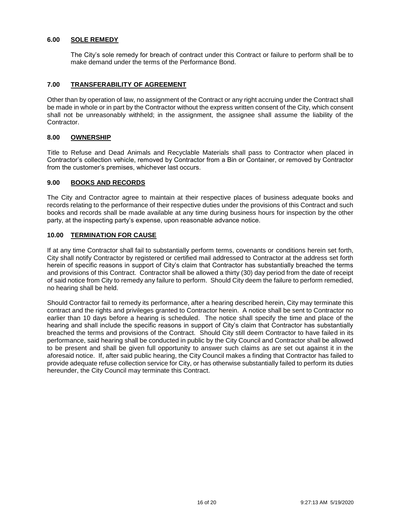# **6.00 SOLE REMEDY**

The City's sole remedy for breach of contract under this Contract or failure to perform shall be to make demand under the terms of the Performance Bond.

#### **7.00 TRANSFERABILITY OF AGREEMENT**

Other than by operation of law, no assignment of the Contract or any right accruing under the Contract shall be made in whole or in part by the Contractor without the express written consent of the City, which consent shall not be unreasonably withheld; in the assignment, the assignee shall assume the liability of the Contractor.

#### **8.00 OWNERSHIP**

Title to Refuse and Dead Animals and Recyclable Materials shall pass to Contractor when placed in Contractor's collection vehicle, removed by Contractor from a Bin or Container, or removed by Contractor from the customer's premises, whichever last occurs.

#### **9.00 BOOKS AND RECORDS**

The City and Contractor agree to maintain at their respective places of business adequate books and records relating to the performance of their respective duties under the provisions of this Contract and such books and records shall be made available at any time during business hours for inspection by the other party, at the inspecting party's expense, upon reasonable advance notice.

#### **10.00 TERMINATION FOR CAUSE**

If at any time Contractor shall fail to substantially perform terms, covenants or conditions herein set forth, City shall notify Contractor by registered or certified mail addressed to Contractor at the address set forth herein of specific reasons in support of City's claim that Contractor has substantially breached the terms and provisions of this Contract. Contractor shall be allowed a thirty (30) day period from the date of receipt of said notice from City to remedy any failure to perform. Should City deem the failure to perform remedied, no hearing shall be held.

Should Contractor fail to remedy its performance, after a hearing described herein, City may terminate this contract and the rights and privileges granted to Contractor herein. A notice shall be sent to Contractor no earlier than 10 days before a hearing is scheduled. The notice shall specify the time and place of the hearing and shall include the specific reasons in support of City's claim that Contractor has substantially breached the terms and provisions of the Contract. Should City still deem Contractor to have failed in its performance, said hearing shall be conducted in public by the City Council and Contractor shall be allowed to be present and shall be given full opportunity to answer such claims as are set out against it in the aforesaid notice. If, after said public hearing, the City Council makes a finding that Contractor has failed to provide adequate refuse collection service for City, or has otherwise substantially failed to perform its duties hereunder, the City Council may terminate this Contract.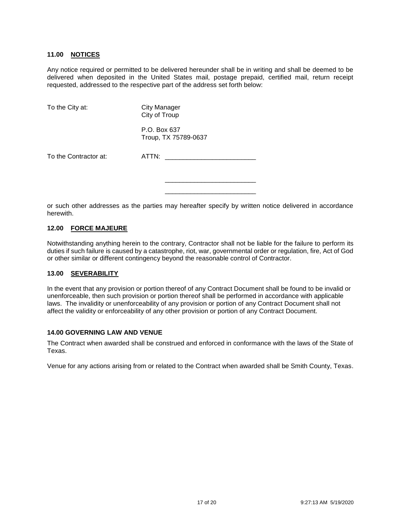#### **11.00 NOTICES**

Any notice required or permitted to be delivered hereunder shall be in writing and shall be deemed to be delivered when deposited in the United States mail, postage prepaid, certified mail, return receipt requested, addressed to the respective part of the address set forth below:

| To the City at:       | <b>City Manager</b><br>City of Troup |  |
|-----------------------|--------------------------------------|--|
|                       | P.O. Box 637<br>Troup, TX 75789-0637 |  |
| To the Contractor at: | ATTN:                                |  |
|                       |                                      |  |

or such other addresses as the parties may hereafter specify by written notice delivered in accordance herewith.

#### **12.00 FORCE MAJEURE**

Notwithstanding anything herein to the contrary, Contractor shall not be liable for the failure to perform its duties if such failure is caused by a catastrophe, riot, war, governmental order or regulation, fire, Act of God or other similar or different contingency beyond the reasonable control of Contractor.

#### **13.00 SEVERABILITY**

In the event that any provision or portion thereof of any Contract Document shall be found to be invalid or unenforceable, then such provision or portion thereof shall be performed in accordance with applicable laws. The invalidity or unenforceability of any provision or portion of any Contract Document shall not affect the validity or enforceability of any other provision or portion of any Contract Document.

#### **14.00 GOVERNING LAW AND VENUE**

The Contract when awarded shall be construed and enforced in conformance with the laws of the State of Texas.

Venue for any actions arising from or related to the Contract when awarded shall be Smith County, Texas.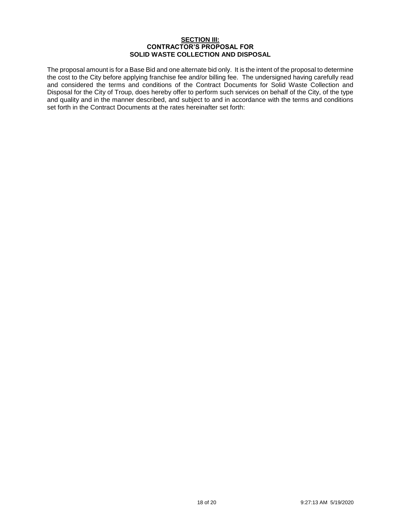#### **SECTION III: CONTRACTOR'S PROPOSAL FOR SOLID WASTE COLLECTION AND DISPOSAL**

The proposal amount is for a Base Bid and one alternate bid only. It is the intent of the proposal to determine the cost to the City before applying franchise fee and/or billing fee. The undersigned having carefully read and considered the terms and conditions of the Contract Documents for Solid Waste Collection and Disposal for the City of Troup, does hereby offer to perform such services on behalf of the City, of the type and quality and in the manner described, and subject to and in accordance with the terms and conditions set forth in the Contract Documents at the rates hereinafter set forth: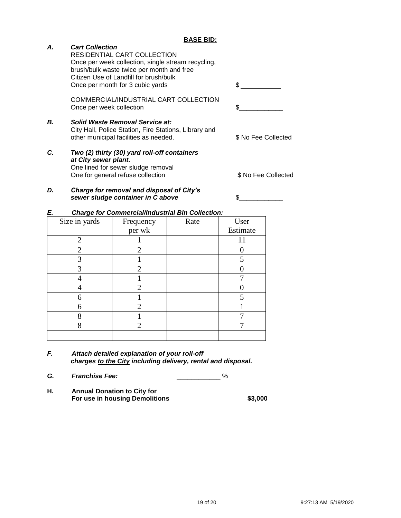# *A. Cart Collection*

| D. | Charge for removal and disposal of City's                                                                                                                                                                    |                     |
|----|--------------------------------------------------------------------------------------------------------------------------------------------------------------------------------------------------------------|---------------------|
| C. | Two (2) thirty (30) yard roll-off containers<br>at City sewer plant.<br>One lined for sewer sludge removal<br>One for general refuse collection                                                              | \$ No Fee Collected |
| В. | Solid Waste Removal Service at:<br>City Hall, Police Station, Fire Stations, Library and<br>other municipal facilities as needed.                                                                            | \$ No Fee Collected |
|    | COMMERCIAL/INDUSTRIAL CART COLLECTION<br>Once per week collection                                                                                                                                            |                     |
|    | RESIDENTIAL CART COLLECTION<br>Once per week collection, single stream recycling,<br>brush/bulk waste twice per month and free<br>Citizen Use of Landfill for brush/bulk<br>Once per month for 3 cubic yards | £.                  |

*sewer sludge container in C above* \$\_\_\_\_\_\_\_\_\_\_\_\_

# *E. Charge for Commercial/Industrial Bin Collection:*

| Size in yards  | Frequency      | Rate | User     |
|----------------|----------------|------|----------|
|                | per wk         |      | Estimate |
| $\overline{2}$ |                |      | 11       |
| $\overline{2}$ | $\overline{2}$ |      |          |
| 3              |                |      | 5        |
| 3              | 2              |      |          |
|                |                |      | ┑        |
|                | 2              |      |          |
| 6              |                |      | 5        |
| 6              | $\overline{2}$ |      |          |
| 8              |                |      |          |
| 8              | 2              |      |          |
|                |                |      |          |

- *F. Attach detailed explanation of your roll-off charges to the City including delivery, rental and disposal.*
- *G. Franchise Fee:* \_\_\_\_\_\_\_\_\_\_\_\_ %
- **H. Annual Donation to City for For use in housing Demolitions \$3,000**